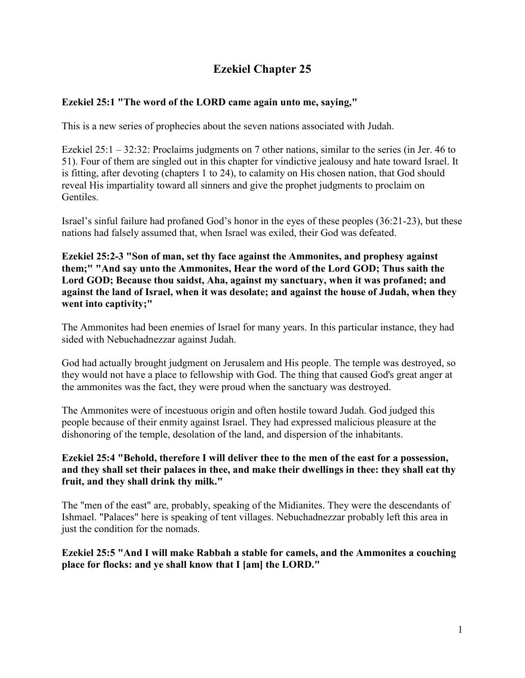## **Ezekiel Chapter 25**

## **Ezekiel 25:1 "The word of the LORD came again unto me, saying,"**

This is a new series of prophecies about the seven nations associated with Judah.

Ezekiel 25:1 – 32:32: Proclaims judgments on 7 other nations, similar to the series (in Jer. 46 to 51). Four of them are singled out in this chapter for vindictive jealousy and hate toward Israel. It is fitting, after devoting (chapters 1 to 24), to calamity on His chosen nation, that God should reveal His impartiality toward all sinners and give the prophet judgments to proclaim on Gentiles.

Israel's sinful failure had profaned God's honor in the eyes of these peoples (36:21-23), but these nations had falsely assumed that, when Israel was exiled, their God was defeated.

**Ezekiel 25:2-3 "Son of man, set thy face against the Ammonites, and prophesy against them;" "And say unto the Ammonites, Hear the word of the Lord GOD; Thus saith the Lord GOD; Because thou saidst, Aha, against my sanctuary, when it was profaned; and against the land of Israel, when it was desolate; and against the house of Judah, when they went into captivity;"**

The Ammonites had been enemies of Israel for many years. In this particular instance, they had sided with Nebuchadnezzar against Judah.

God had actually brought judgment on Jerusalem and His people. The temple was destroyed, so they would not have a place to fellowship with God. The thing that caused God's great anger at the ammonites was the fact, they were proud when the sanctuary was destroyed.

The Ammonites were of incestuous origin and often hostile toward Judah. God judged this people because of their enmity against Israel. They had expressed malicious pleasure at the dishonoring of the temple, desolation of the land, and dispersion of the inhabitants.

#### **Ezekiel 25:4 "Behold, therefore I will deliver thee to the men of the east for a possession, and they shall set their palaces in thee, and make their dwellings in thee: they shall eat thy fruit, and they shall drink thy milk."**

The "men of the east" are, probably, speaking of the Midianites. They were the descendants of Ishmael. "Palaces" here is speaking of tent villages. Nebuchadnezzar probably left this area in just the condition for the nomads.

### **Ezekiel 25:5 "And I will make Rabbah a stable for camels, and the Ammonites a couching place for flocks: and ye shall know that I [am] the LORD."**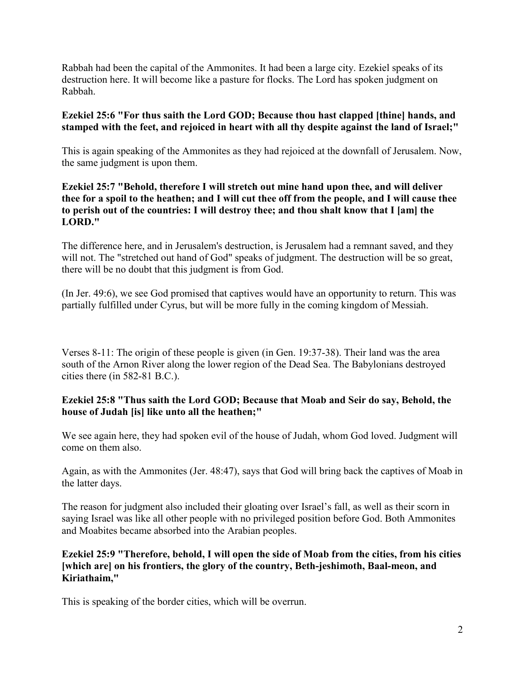Rabbah had been the capital of the Ammonites. It had been a large city. Ezekiel speaks of its destruction here. It will become like a pasture for flocks. The Lord has spoken judgment on Rabbah.

#### **Ezekiel 25:6 "For thus saith the Lord GOD; Because thou hast clapped [thine] hands, and stamped with the feet, and rejoiced in heart with all thy despite against the land of Israel;"**

This is again speaking of the Ammonites as they had rejoiced at the downfall of Jerusalem. Now, the same judgment is upon them.

#### **Ezekiel 25:7 "Behold, therefore I will stretch out mine hand upon thee, and will deliver thee for a spoil to the heathen; and I will cut thee off from the people, and I will cause thee to perish out of the countries: I will destroy thee; and thou shalt know that I [am] the LORD."**

The difference here, and in Jerusalem's destruction, is Jerusalem had a remnant saved, and they will not. The "stretched out hand of God" speaks of judgment. The destruction will be so great, there will be no doubt that this judgment is from God.

(In Jer. 49:6), we see God promised that captives would have an opportunity to return. This was partially fulfilled under Cyrus, but will be more fully in the coming kingdom of Messiah.

Verses 8-11: The origin of these people is given (in Gen. 19:37-38). Their land was the area south of the Arnon River along the lower region of the Dead Sea. The Babylonians destroyed cities there (in 582-81 B.C.).

#### **Ezekiel 25:8 "Thus saith the Lord GOD; Because that Moab and Seir do say, Behold, the house of Judah [is] like unto all the heathen;"**

We see again here, they had spoken evil of the house of Judah, whom God loved. Judgment will come on them also.

Again, as with the Ammonites (Jer. 48:47), says that God will bring back the captives of Moab in the latter days.

The reason for judgment also included their gloating over Israel's fall, as well as their scorn in saying Israel was like all other people with no privileged position before God. Both Ammonites and Moabites became absorbed into the Arabian peoples.

#### **Ezekiel 25:9 "Therefore, behold, I will open the side of Moab from the cities, from his cities [which are] on his frontiers, the glory of the country, Beth-jeshimoth, Baal-meon, and Kiriathaim,"**

This is speaking of the border cities, which will be overrun.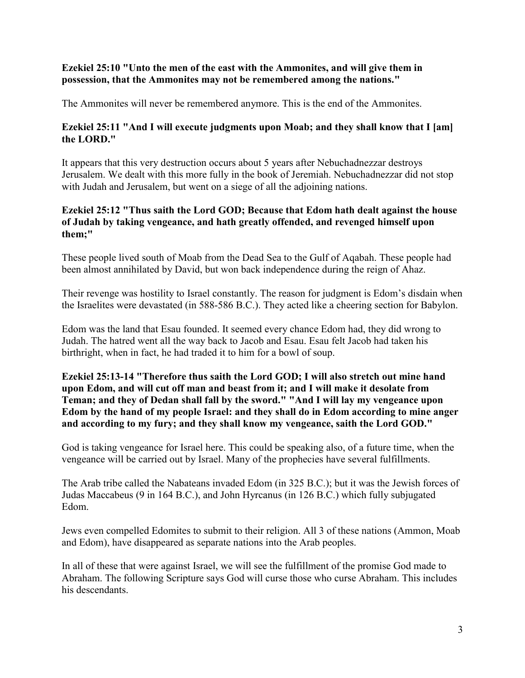#### **Ezekiel 25:10 "Unto the men of the east with the Ammonites, and will give them in possession, that the Ammonites may not be remembered among the nations."**

The Ammonites will never be remembered anymore. This is the end of the Ammonites.

#### **Ezekiel 25:11 "And I will execute judgments upon Moab; and they shall know that I [am] the LORD."**

It appears that this very destruction occurs about 5 years after Nebuchadnezzar destroys Jerusalem. We dealt with this more fully in the book of Jeremiah. Nebuchadnezzar did not stop with Judah and Jerusalem, but went on a siege of all the adjoining nations.

#### **Ezekiel 25:12 "Thus saith the Lord GOD; Because that Edom hath dealt against the house of Judah by taking vengeance, and hath greatly offended, and revenged himself upon them;"**

These people lived south of Moab from the Dead Sea to the Gulf of Aqabah. These people had been almost annihilated by David, but won back independence during the reign of Ahaz.

Their revenge was hostility to Israel constantly. The reason for judgment is Edom's disdain when the Israelites were devastated (in 588-586 B.C.). They acted like a cheering section for Babylon.

Edom was the land that Esau founded. It seemed every chance Edom had, they did wrong to Judah. The hatred went all the way back to Jacob and Esau. Esau felt Jacob had taken his birthright, when in fact, he had traded it to him for a bowl of soup.

#### **Ezekiel 25:13-14 "Therefore thus saith the Lord GOD; I will also stretch out mine hand upon Edom, and will cut off man and beast from it; and I will make it desolate from Teman; and they of Dedan shall fall by the sword." "And I will lay my vengeance upon Edom by the hand of my people Israel: and they shall do in Edom according to mine anger and according to my fury; and they shall know my vengeance, saith the Lord GOD."**

God is taking vengeance for Israel here. This could be speaking also, of a future time, when the vengeance will be carried out by Israel. Many of the prophecies have several fulfillments.

The Arab tribe called the Nabateans invaded Edom (in 325 B.C.); but it was the Jewish forces of Judas Maccabeus (9 in 164 B.C.), and John Hyrcanus (in 126 B.C.) which fully subjugated Edom.

Jews even compelled Edomites to submit to their religion. All 3 of these nations (Ammon, Moab and Edom), have disappeared as separate nations into the Arab peoples.

In all of these that were against Israel, we will see the fulfillment of the promise God made to Abraham. The following Scripture says God will curse those who curse Abraham. This includes his descendants.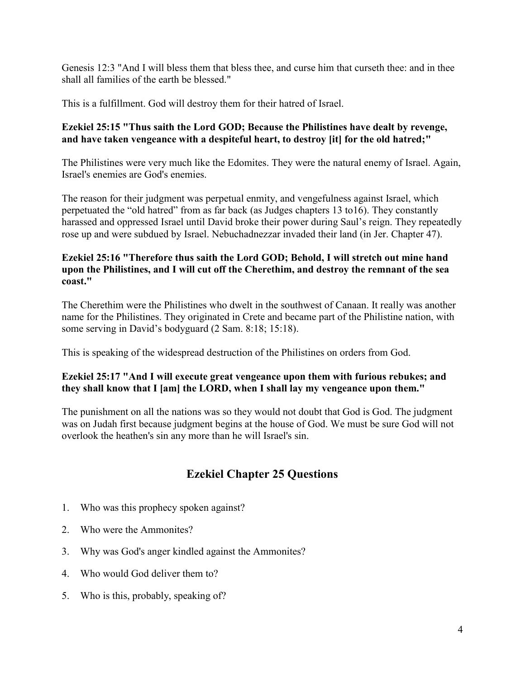Genesis 12:3 "And I will bless them that bless thee, and curse him that curseth thee: and in thee shall all families of the earth be blessed."

This is a fulfillment. God will destroy them for their hatred of Israel.

## **Ezekiel 25:15 "Thus saith the Lord GOD; Because the Philistines have dealt by revenge, and have taken vengeance with a despiteful heart, to destroy [it] for the old hatred;"**

The Philistines were very much like the Edomites. They were the natural enemy of Israel. Again, Israel's enemies are God's enemies.

The reason for their judgment was perpetual enmity, and vengefulness against Israel, which perpetuated the "old hatred" from as far back (as Judges chapters 13 to16). They constantly harassed and oppressed Israel until David broke their power during Saul's reign. They repeatedly rose up and were subdued by Israel. Nebuchadnezzar invaded their land (in Jer. Chapter 47).

#### **Ezekiel 25:16 "Therefore thus saith the Lord GOD; Behold, I will stretch out mine hand upon the Philistines, and I will cut off the Cherethim, and destroy the remnant of the sea coast."**

The Cherethim were the Philistines who dwelt in the southwest of Canaan. It really was another name for the Philistines. They originated in Crete and became part of the Philistine nation, with some serving in David's bodyguard (2 Sam. 8:18; 15:18).

This is speaking of the widespread destruction of the Philistines on orders from God.

## **Ezekiel 25:17 "And I will execute great vengeance upon them with furious rebukes; and they shall know that I [am] the LORD, when I shall lay my vengeance upon them."**

The punishment on all the nations was so they would not doubt that God is God. The judgment was on Judah first because judgment begins at the house of God. We must be sure God will not overlook the heathen's sin any more than he will Israel's sin.

# **Ezekiel Chapter 25 Questions**

- 1. Who was this prophecy spoken against?
- 2. Who were the Ammonites?
- 3. Why was God's anger kindled against the Ammonites?
- 4. Who would God deliver them to?
- 5. Who is this, probably, speaking of?